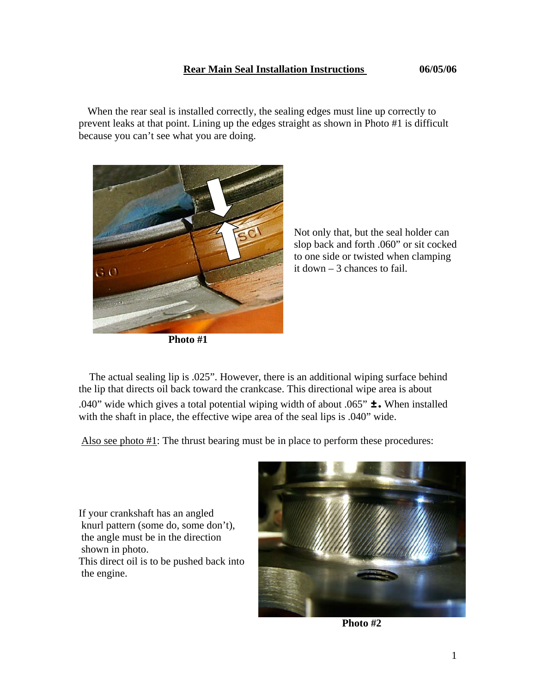## **Rear Main Seal Installation Instructions 06/05/06**

 When the rear seal is installed correctly, the sealing edges must line up correctly to prevent leaks at that point. Lining up the edges straight as shown in Photo #1 is difficult because you can't see what you are doing.



**Photo #1** 

 Not only that, but the seal holder can slop back and forth .060" or sit cocked to one side or twisted when clamping

 The actual sealing lip is .025". However, there is an additional wiping surface behind the lip that directs oil back toward the crankcase. This directional wipe area is about .040" wide which gives a total potential wiping width of about .065"  $\pm$ . When installed with the shaft in place, the effective wipe area of the seal lips is .040" wide.

Also see photo #1: The thrust bearing must be in place to perform these procedures:

If your crankshaft has an angled knurl pattern (some do, some don't), the angle must be in the direction shown in photo. This direct oil is to be pushed back into the engine.



**Photo #2**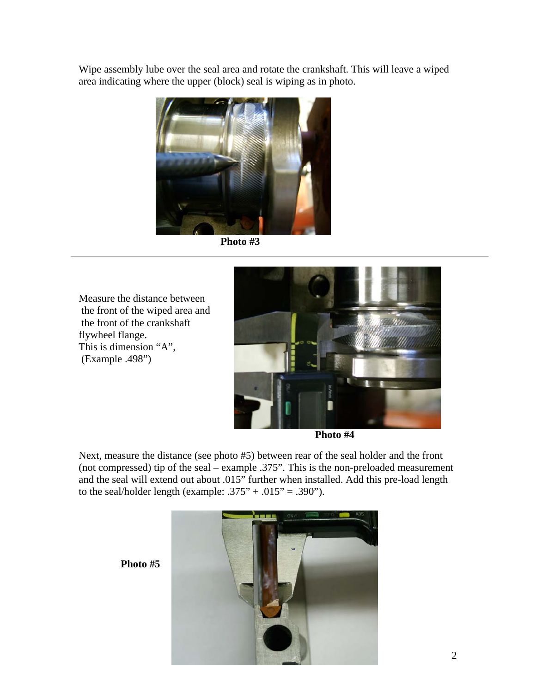Wipe assembly lube over the seal area and rotate the crankshaft. This will leave a wiped area indicating where the upper (block) seal is wiping as in photo.



**Photo #3** 

Measure the distance between the front of the wiped area and the front of the crankshaft flywheel flange. This is dimension "A", (Example .498")



**Photo #4** 

Next, measure the distance (see photo #5) between rear of the seal holder and the front (not compressed) tip of the seal – example .375". This is the non-preloaded measurement and the seal will extend out about .015" further when installed. Add this pre-load length to the seal/holder length (example:  $.375" + .015" = .390"$ ).

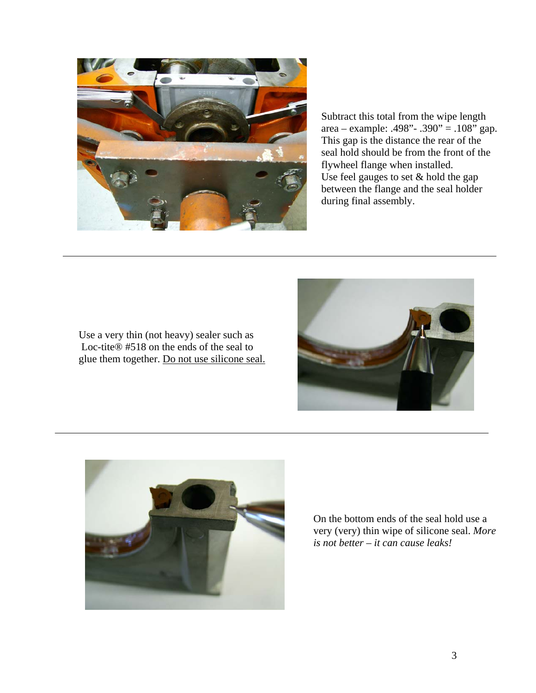

Subtract this total from the wipe length area – example: .498"- .390" = .108" gap. This gap is the distance the rear of the seal hold should be from the front of the flywheel flange when installed. Use feel gauges to set & hold the gap between the flange and the seal holder during final assembly.

Use a very thin (not heavy) sealer such as Loc-tite® #518 on the ends of the seal to glue them together. Do not use silicone seal.





On the bottom ends of the seal hold use a very (very) thin wipe of silicone seal. *More is not better – it can cause leaks!*